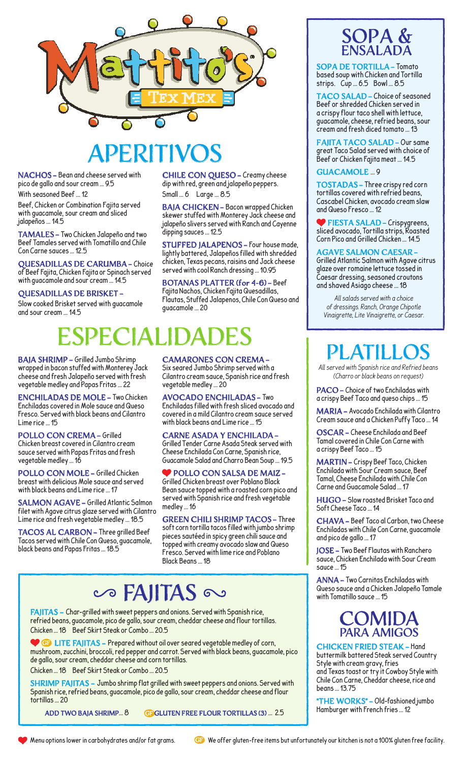

# APERITIVO

NACHOS - Bean and cheese served with pico de gallo and sour cream … 9.5

With seasoned Beef … 12

Beef, Chicken or Combination Fajita served with guacamole, sour cream and sliced jalapeños … 14.5

TAMALES - Two Chicken Jalapeño and two Beef Tamales served with Tomatillo and Chile Con Carne sauces … 12.5

QUESADILLAS DE CARUMBA - Choice of Beef Fajita, Chicken Fajita or Spinach served with guacamole and sour cream … 14.5

#### QUESADILLAS DE BRISKET -

Slow cooked Brisket served with guacamole and sour cream … 14.5

CHILE CON QUESO - Creamy cheese dip with red, green and jalapeño peppers. Small … 6 Large … 8.5

BAJA CHICKEN - Bacon wrapped Chicken skewer stuffed with Monterey Jack cheese and jalapeño slivers served with Ranch and Cayenne dipping sauces … 12.5

STUFFED JALAPENOS - Four house made, lightly battered, Jalapeños filled with shredded chicken, Texas pecans, raisins and Jack cheese served with cool Ranch dressing … 10.95

BOTANAS PLATTER (for 4-6) - Beef Fajita Nachos, Chicken Fajita Quesadillas, Flautas, Stuffed Jalapenos, Chile Con Queso and guacamole … 20

# PECIAI

BAJA SHRIMP - Grilled Jumbo Shrimp wrapped in bacon stuffed with Monterey Jack cheese and fresh Jalapeño served with fresh vegetable medley and Papas Fritas … 22

ENCHILADAS DE MOLE - Two Chicken Enchiladas covered in Mole sauce and Queso Fresco. Served with black beans and Cilantro Lime rice … 15

POLLO CON CREMA - Grilled Chicken breast covered in Cilantro cream sauce served with Papas Fritas and fresh vegetable medley … 16

POLLO CON MOLE - Grilled Chicken breast with delicious Mole sauce and served with black beans and Lime rice … 17

SALMON AGAVE - Grilled Atlantic Salmon filet with Agave citrus glaze served with Cilantro Lime rice and fresh vegetable medley … 18.5

TACOS AL CARBON - Three grilled Beef Tacos served with Chile Con Queso, guacamole, black beans and Papas Fritas … 18.5

CAMARONES CON CREMA - Six seared Jumbo Shrimp served with a Cilantro cream sauce, Spanish rice and fresh vegetable medley … 20

AVOCADO ENCHILADAS - Two Enchiladas filled with fresh sliced avocado and covered in a mild Cilantro cream sauce served with black beans and Lime rice … 15

CARNE ASADA Y ENCHILADA - Grilled Tender Carne Asada Steak served with Cheese Enchilada Con Carne, Spanish rice, Guacamole Salad and Charro Bean Soup … 19.5

OLLO CON SALSA DE MAIZ-Grilled Chicken breast over Poblano Black Bean sauce topped with a roasted corn pico and served with Spanish rice and fresh vegetable medley … 16

GREEN CHILI SHRIMP TACOS - Three soft corn tortilla tacos filled with jumbo shrimp pieces sautéed in spicy green chili sauce and topped with creamy avocado slaw and Queso Fresco. Served with lime rice and Poblano Black Beans … 18

## Co FAIITAS

FAJITAS - Char-grilled with sweet peppers and onions. Served with Spanish rice, refried beans, guacamole, pico de gallo, sour cream, cheddar cheese and flour tortillas. Chicken … 18 Beef Skirt Steak or Combo … 20.5

 $\bullet$  LITE FAJITAS - Prepared without oil over seared vegetable medley of corn, mushroom, zucchini, broccoli, red pepper and carrot. Served with black beans, guacamole, pico de gallo, sour cream, cheddar cheese and corn tortillas.

Chicken … 18 Beef Skirt Steak or Combo … 20.5

SHRIMP FAJITAS - Jumbo shrimp flat grilled with sweet peppers and onions. Served with Spanish rice, refried beans, guacamole, pico de gallo, sour cream, cheddar cheese and flour tortillas … 20

ADD TWO BAJA SHRIMP... 8 GEGLUTEN FREE FLOUR TORTILLAS (3) ... 2.5





SOPA DE TORTILLA - Tomato based soup with Chicken and Tortilla strips. Cup … 6.5 Bowl … 8.5

TACO SALAD - Choice of seasoned Beef or shredded Chicken served in a crispy flour taco shell with lettuce, guacamole, cheese, refried beans, sour cream and fresh diced tomato … 13

FAJITA TACO SALAD - Our same great Taco Salad served with choice of Beef or Chicken Fajita meat … 14.5

#### GUACAMOLE … 9

TOSTADAS - Three crispy red corn tortillas covered with refried beans, Cascabel Chicken, avocado cream slaw and Queso Fresco … 12

 FIESTA SALAD - Crispygreens, sliced avocado, Tortilla strips, Roasted Corn Pico and Grilled Chicken … 14.5

#### AGAVE SALMON CAESAR -

Grilled Atlantic Salmon with Agave citrus glaze over romaine lettuce tossed in Caesar dressing, seasoned croutons and shaved Asiago cheese … 18

*All salads served with a choice of dressings. Ranch, Orange Chipotle Vinaigrette, Lite Vinaigrette, or Caesar.*

### PLATILL

*All served with Spanish rice and Refried beans (Charro or black beans on request)*

PACO - Choice of two Enchiladas with a crispy Beef Taco and queso chips … 15

MARIA - Avocado Enchilada with Cilantro Cream sauce and a Chicken Puffy Taco … 14

OSCAR - Cheese Enchilada and Beef Tamal covered in Chile Con Carne with a crispy Beef Taco … 15

MARTIN - Crispy Beef Taco, Chicken Enchilada with Sour Cream sauce, Beef Tamal, Cheese Enchilada with Chile Con Carne and Guacamole Salad … 17

HUGO - Slow roasted Brisket Taco and Soft Cheese Taco … 14

CHAVA - Beef Taco al Carbon, two Cheese Enchiladas with Chile Con Carne, guacamole and pico de gallo … 17

JOSE - Two Beef Flautas with Ranchero sauce, Chicken Enchilada with Sour Cream sauce … 15

ANNA - Two Carnitas Enchiladas with Queso sauce and a Chicken Jalapeño Tamale with Tomatillo sauce … 15

### COMIT PARA AMIGOS

CHICKEN FRIED STEAK - Hand buttermilk battered Steak served Country Style with cream gravy, fries and Texas toast or try it Cowboy Style with Chile Con Carne, Cheddar cheese, rice and beans … 13.75

"THE WORKS" - Old-fashioned jumbo Hamburger with French fries … 12